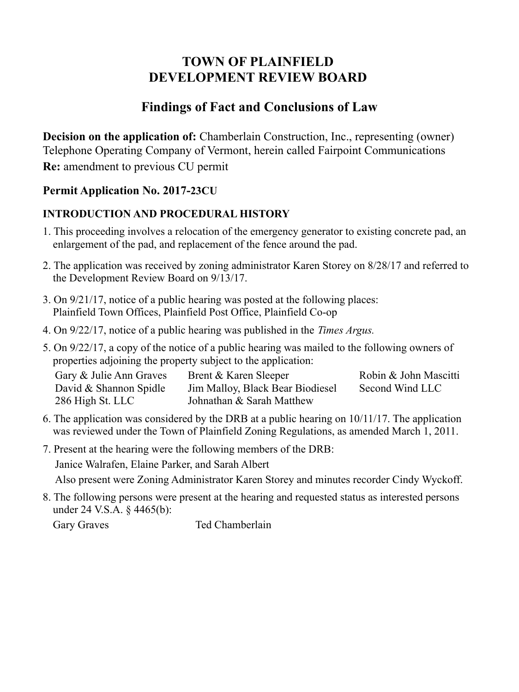# **TOWN OF PLAINFIELD DEVELOPMENT REVIEW BOARD**

# **Findings of Fact and Conclusions of Law**

**Decision on the application of:** Chamberlain Construction, Inc., representing (owner) Telephone Operating Company of Vermont, herein called Fairpoint Communications **Re:** amendment to previous CU permit

### **Permit Application No. 2017-23CU**

### **INTRODUCTION AND PROCEDURAL HISTORY**

- 1. This proceeding involves a relocation of the emergency generator to existing concrete pad, an enlargement of the pad, and replacement of the fence around the pad.
- 2. The application was received by zoning administrator Karen Storey on 8/28/17 and referred to the Development Review Board on 9/13/17.
- 3. On 9/21/17, notice of a public hearing was posted at the following places: Plainfield Town Offices, Plainfield Post Office, Plainfield Co-op
- 4. On 9/22/17, notice of a public hearing was published in the *Times Argus.*
- 5. On 9/22/17, a copy of the notice of a public hearing was mailed to the following owners of properties adjoining the property subject to the application:

| Gary & Julie Ann Graves | Brent & Karen Sleeper            | Robin & John Mascitti |
|-------------------------|----------------------------------|-----------------------|
| David & Shannon Spidle  | Jim Malloy, Black Bear Biodiesel | Second Wind LLC       |
| 286 High St. LLC        | Johnathan & Sarah Matthew        |                       |

- 6. The application was considered by the DRB at a public hearing on 10/11/17. The application was reviewed under the Town of Plainfield Zoning Regulations, as amended March 1, 2011.
- 7. Present at the hearing were the following members of the DRB: Janice Walrafen, Elaine Parker, and Sarah Albert

Also present were Zoning Administrator Karen Storey and minutes recorder Cindy Wyckoff.

8. The following persons were present at the hearing and requested status as interested persons under 24 V.S.A. § 4465(b):

Gary Graves Ted Chamberlain